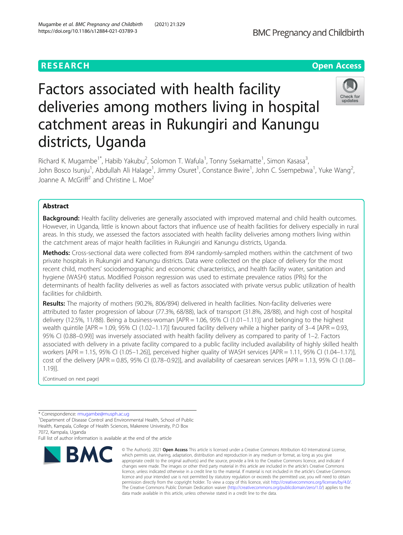# **RESEARCH CHEAR CHEAR CHEAR CHEAR CHEAR CHEAR CHEAR CHEAR CHEAR CHEAR CHEAR CHEAR CHEAR CHEAR CHEAR CHEAR CHEAR**



# Factors associated with health facility deliveries among mothers living in hospital catchment areas in Rukungiri and Kanungu districts, Uganda

Richard K. Mugambe<sup>1\*</sup>, Habib Yakubu<sup>2</sup>, Solomon T. Wafula<sup>1</sup>, Tonny Ssekamatte<sup>1</sup>, Simon Kasasa<sup>3</sup> , John Bosco Isunju<sup>1</sup>, Abdullah Ali Halage<sup>1</sup>, Jimmy Osuret<sup>1</sup>, Constance Bwire<sup>1</sup>, John C. Ssempebwa<sup>1</sup>, Yuke Wang<sup>2</sup> .<br>, Joanne A. McGriff<sup>2</sup> and Christine L. Moe<sup>2</sup>

# Abstract

Background: Health facility deliveries are generally associated with improved maternal and child health outcomes. However, in Uganda, little is known about factors that influence use of health facilities for delivery especially in rural areas. In this study, we assessed the factors associated with health facility deliveries among mothers living within the catchment areas of major health facilities in Rukungiri and Kanungu districts, Uganda.

Methods: Cross-sectional data were collected from 894 randomly-sampled mothers within the catchment of two private hospitals in Rukungiri and Kanungu districts. Data were collected on the place of delivery for the most recent child, mothers' sociodemographic and economic characteristics, and health facility water, sanitation and hygiene (WASH) status. Modified Poisson regression was used to estimate prevalence ratios (PRs) for the determinants of health facility deliveries as well as factors associated with private versus public utilization of health facilities for childbirth.

Results: The majority of mothers (90.2%, 806/894) delivered in health facilities. Non-facility deliveries were attributed to faster progression of labour (77.3%, 68/88), lack of transport (31.8%, 28/88), and high cost of hospital delivery (12.5%, 11/88). Being a business-woman [APR = 1.06, 95% CI (1.01–1.11)] and belonging to the highest wealth quintile [APR = 1.09, 95% CI (1.02–1.17)] favoured facility delivery while a higher parity of 3–4 [APR = 0.93, 95% CI (0.88–0.99)] was inversely associated with health facility delivery as compared to parity of 1–2. Factors associated with delivery in a private facility compared to a public facility included availability of highly skilled health workers [APR = 1.15, 95% CI (1.05–1.26)], perceived higher quality of WASH services [APR = 1.11, 95% CI (1.04–1.17)], cost of the delivery [APR = 0.85, 95% CI (0.78–0.92)], and availability of caesarean services [APR = 1.13, 95% CI (1.08– 1.19)].

(Continued on next page)

Full list of author information is available at the end of the article



<sup>©</sup> The Author(s), 2021 **Open Access** This article is licensed under a Creative Commons Attribution 4.0 International License, which permits use, sharing, adaptation, distribution and reproduction in any medium or format, as long as you give appropriate credit to the original author(s) and the source, provide a link to the Creative Commons licence, and indicate if changes were made. The images or other third party material in this article are included in the article's Creative Commons licence, unless indicated otherwise in a credit line to the material. If material is not included in the article's Creative Commons licence and your intended use is not permitted by statutory regulation or exceeds the permitted use, you will need to obtain permission directly from the copyright holder. To view a copy of this licence, visit [http://creativecommons.org/licenses/by/4.0/.](http://creativecommons.org/licenses/by/4.0/) The Creative Commons Public Domain Dedication waiver [\(http://creativecommons.org/publicdomain/zero/1.0/](http://creativecommons.org/publicdomain/zero/1.0/)) applies to the data made available in this article, unless otherwise stated in a credit line to the data.

<sup>\*</sup> Correspondence: [rmugambe@musph.ac.ug](mailto:rmugambe@musph.ac.ug) <sup>1</sup>

<sup>&</sup>lt;sup>1</sup>Department of Disease Control and Environmental Health, School of Public Health, Kampala, College of Health Sciences, Makerere University, P.O Box 7072, Kampala, Uganda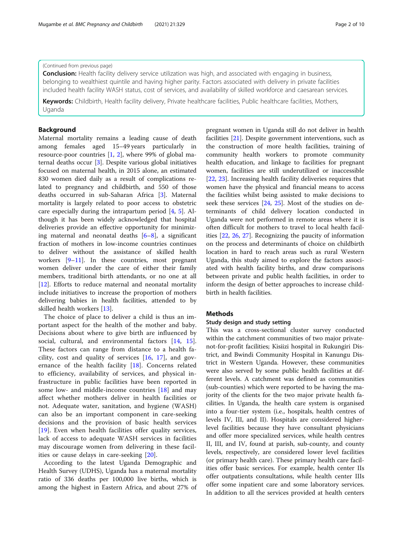# (Continued from previous page)

**Conclusion:** Health facility delivery service utilization was high, and associated with engaging in business, belonging to wealthiest quintile and having higher parity. Factors associated with delivery in private facilities included health facility WASH status, cost of services, and availability of skilled workforce and caesarean services.

Keywords: Childbirth, Health facility delivery, Private healthcare facilities, Public healthcare facilities, Mothers, Uganda

# Background

Maternal mortality remains a leading cause of death among females aged 15–49 years particularly in resource-poor countries [\[1](#page-8-0), [2\]](#page-8-0), where 99% of global maternal deaths occur [\[3\]](#page-8-0). Despite various global initiatives focused on maternal health, in 2015 alone, an estimated 830 women died daily as a result of complications related to pregnancy and childbirth, and 550 of those deaths occurred in sub-Saharan Africa [[3\]](#page-8-0). Maternal mortality is largely related to poor access to obstetric care especially during the intrapartum period [[4,](#page-8-0) [5](#page-8-0)]. Although it has been widely acknowledged that hospital deliveries provide an effective opportunity for minimizing maternal and neonatal deaths  $[6-8]$  $[6-8]$  $[6-8]$  $[6-8]$ , a significant fraction of mothers in low-income countries continues to deliver without the assistance of skilled health workers  $[9-11]$  $[9-11]$  $[9-11]$  $[9-11]$ . In these countries, most pregnant women deliver under the care of either their family members, traditional birth attendants, or no one at all [[12\]](#page-8-0). Efforts to reduce maternal and neonatal mortality include initiatives to increase the proportion of mothers delivering babies in health facilities, attended to by skilled health workers [\[13](#page-8-0)].

The choice of place to deliver a child is thus an important aspect for the health of the mother and baby. Decisions about where to give birth are influenced by social, cultural, and environmental factors [\[14](#page-8-0), [15](#page-8-0)]. These factors can range from distance to a health facility, cost and quality of services [[16,](#page-8-0) [17](#page-8-0)], and governance of the health facility [[18\]](#page-8-0). Concerns related to efficiency, availability of services, and physical infrastructure in public facilities have been reported in some low- and middle-income countries [[18\]](#page-8-0) and may affect whether mothers deliver in health facilities or not. Adequate water, sanitation, and hygiene (WASH) can also be an important component in care-seeking decisions and the provision of basic health services [[19\]](#page-8-0). Even when health facilities offer quality services, lack of access to adequate WASH services in facilities may discourage women from delivering in these facilities or cause delays in care-seeking [\[20](#page-8-0)].

According to the latest Uganda Demographic and Health Survey (UDHS), Uganda has a maternal mortality ratio of 336 deaths per 100,000 live births, which is among the highest in Eastern Africa, and about 27% of pregnant women in Uganda still do not deliver in health facilities [\[21](#page-8-0)]. Despite government interventions, such as the construction of more health facilities, training of community health workers to promote community health education, and linkage to facilities for pregnant women, facilities are still underutilized or inaccessible [[22,](#page-9-0) [23\]](#page-9-0). Increasing health facility deliveries requires that women have the physical and financial means to access the facilities whilst being assisted to make decisions to seek these services [[24,](#page-9-0) [25\]](#page-9-0). Most of the studies on determinants of child delivery location conducted in Uganda were not performed in remote areas where it is often difficult for mothers to travel to local health facilities [[22](#page-9-0), [26,](#page-9-0) [27](#page-9-0)]. Recognizing the paucity of information on the process and determinants of choice on childbirth location in hard to reach areas such as rural Western Uganda, this study aimed to explore the factors associated with health facility births, and draw comparisons between private and public health facilities, in order to inform the design of better approaches to increase childbirth in health facilities.

# Methods

# Study design and study setting

This was a cross-sectional cluster survey conducted within the catchment communities of two major privatenot-for-profit facilities; Kisiizi hospital in Rukungiri District, and Bwindi Community Hospital in Kanungu District in Western Uganda. However, these communities were also served by some public health facilities at different levels. A catchment was defined as communities (sub-counties) which were reported to be having the majority of the clients for the two major private health facilities. In Uganda, the health care system is organised into a four-tier system (i.e., hospitals, health centres of levels IV, III, and II). Hospitals are considered higherlevel facilities because they have consultant physicians and offer more specialized services, while health centres II, III, and IV, found at parish, sub-county, and county levels, respectively, are considered lower level facilities (or primary health care). These primary health care facilities offer basic services. For example, health center IIs offer outpatients consultations, while health center IIIs offer some inpatient care and some laboratory services. In addition to all the services provided at health centers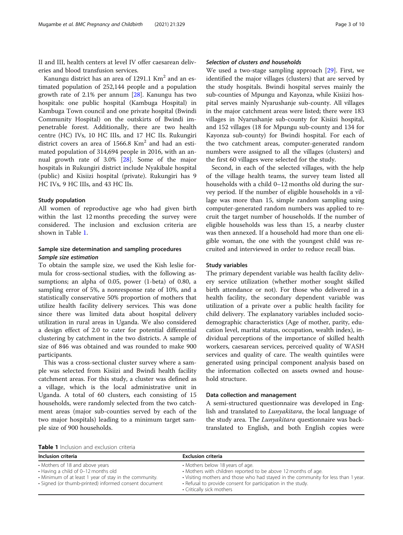II and III, health centers at level IV offer caesarean deliveries and blood transfusion services.

Kanungu district has an area of 1291.1 Km<sup>2</sup> and an estimated population of 252,144 people and a population growth rate of 2.1% per annum [[28](#page-9-0)]. Kanungu has two hospitals: one public hospital (Kambuga Hospital) in Kambuga Town council and one private hospital (Bwindi Community Hospital) on the outskirts of Bwindi impenetrable forest. Additionally, there are two health centre (HC) IVs, 10 HC IIIs, and 17 HC IIs. Rukungiri district covers an area of  $1566.8$  Km<sup>2</sup> and had an estimated population of 314,694 people in 2016, with an annual growth rate of 3.0% [[28\]](#page-9-0). Some of the major hospitals in Rukungiri district include Nyakibale hospital (public) and Kisiizi hospital (private). Rukungiri has 9 HC IVs, 9 HC IIIs, and 43 HC IIs.

#### Study population

All women of reproductive age who had given birth within the last 12 months preceding the survey were considered. The inclusion and exclusion criteria are shown in Table 1.

# Sample size determination and sampling procedures Sample size estimation

To obtain the sample size, we used the Kish leslie formula for cross-sectional studies, with the following assumptions; an alpha of 0.05, power (1-beta) of 0.80, a sampling error of 5%, a nonresponse rate of 10%, and a statistically conservative 50% proportion of mothers that utilize health facility delivery services. This was done since there was limited data about hospital delivery utilization in rural areas in Uganda. We also considered a design effect of 2.0 to cater for potential differential clustering by catchment in the two districts. A sample of size of 846 was obtained and was rounded to make 900 participants.

This was a cross-sectional cluster survey where a sample was selected from Kisiizi and Bwindi health facility catchment areas. For this study, a cluster was defined as a village, which is the local administrative unit in Uganda. A total of 60 clusters, each consisting of 15 households, were randomly selected from the two catchment areas (major sub-counties served by each of the two major hospitals) leading to a minimum target sample size of 900 households.

We used a two-stage sampling approach [[29](#page-9-0)]. First, we identified the major villages (clusters) that are served by the study hospitals. Bwindi hospital serves mainly the sub-counties of Mpungu and Kayonza, while Kisiizi hospital serves mainly Nyarushanje sub-county. All villages in the major catchment areas were listed; there were 183 villages in Nyarushanje sub-county for Kisiizi hospital, and 152 villages (18 for Mpungu sub-county and 134 for Kayonza sub-county) for Bwindi hospital. For each of the two catchment areas, computer-generated random numbers were assigned to all the villages (clusters) and the first 60 villages were selected for the study.

Second, in each of the selected villages, with the help of the village health teams, the survey team listed all households with a child 0–12 months old during the survey period. If the number of eligible households in a village was more than 15, simple random sampling using computer-generated random numbers was applied to recruit the target number of households. If the number of eligible households was less than 15, a nearby cluster was then annexed. If a household had more than one eligible woman, the one with the youngest child was recruited and interviewed in order to reduce recall bias.

#### Study variables

The primary dependent variable was health facility delivery service utilization (whether mother sought skilled birth attendance or not). For those who delivered in a health facility, the secondary dependent variable was utilization of a private over a public health facility for child delivery. The explanatory variables included sociodemographic characteristics (Age of mother, parity, education level, marital status, occupation, wealth index), individual perceptions of the importance of skilled health workers, caesarean services, perceived quality of WASH services and quality of care. The wealth quintiles were generated using principal component analysis based on the information collected on assets owned and household structure.

#### Data collection and management

A semi-structured questionnaire was developed in English and translated to *Lunyakitara*, the local language of the study area. The Lunyakitara questionnaire was backtranslated to English, and both English copies were

| <b>Table 1</b> Inclusion and exclusion criteria |  |  |
|-------------------------------------------------|--|--|
|                                                 |  |  |

| Inclusion criteria                                                                                                                                                                        | <b>Exclusion criteria</b>                                                                                                                                                                                                                                                             |
|-------------------------------------------------------------------------------------------------------------------------------------------------------------------------------------------|---------------------------------------------------------------------------------------------------------------------------------------------------------------------------------------------------------------------------------------------------------------------------------------|
| • Mothers of 18 and above years<br>• Having a child of 0-12 months old<br>• Minimum of at least 1 year of stay in the community.<br>· Signed (or thumb-printed) informed consent document | • Mothers below 18 years of age.<br>• Mothers with children reported to be above 12 months of age.<br>. Visiting mothers and those who had stayed in the community for less than 1 year.<br>• Refusal to provide consent for participation in the study.<br>• Critically sick mothers |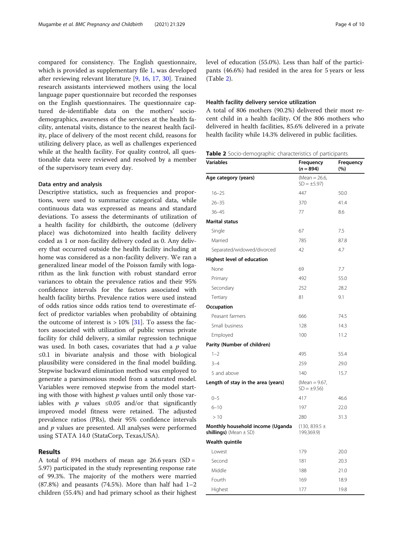compared for consistency. The English questionnaire, which is provided as supplementary file [1](#page-8-0), was developed after reviewing relevant literature [[9,](#page-8-0) [16,](#page-8-0) [17,](#page-8-0) [30\]](#page-9-0). Trained research assistants interviewed mothers using the local language paper questionnaire but recorded the responses on the English questionnaires. The questionnaire captured de-identifiable data on the mothers' sociodemographics, awareness of the services at the health facility, antenatal visits, distance to the nearest health facility, place of delivery of the most recent child, reasons for utilizing delivery place, as well as challenges experienced while at the health facility. For quality control, all questionable data were reviewed and resolved by a member of the supervisory team every day.

### Data entry and analysis

Descriptive statistics, such as frequencies and proportions, were used to summarize categorical data, while continuous data was expressed as means and standard deviations. To assess the determinants of utilization of a health facility for childbirth, the outcome (delivery place) was dichotomized into health facility delivery coded as 1 or non-facility delivery coded as 0. Any delivery that occurred outside the health facility including at home was considered as a non-facility delivery. We ran a generalized linear model of the Poisson family with logarithm as the link function with robust standard error variances to obtain the prevalence ratios and their 95% confidence intervals for the factors associated with health facility births. Prevalence ratios were used instead of odds ratios since odds ratios tend to overestimate effect of predictor variables when probability of obtaining the outcome of interest is  $> 10\%$  [[31\]](#page-9-0). To assess the factors associated with utilization of public versus private facility for child delivery, a similar regression technique was used. In both cases, covariates that had a  $p$  value ≤0.1 in bivariate analysis and those with biological plausibility were considered in the final model building. Stepwise backward elimination method was employed to generate a parsimonious model from a saturated model. Variables were removed stepwise from the model starting with those with highest  $p$  values until only those variables with  $p$  values ≤0.05 and/or that significantly improved model fitness were retained. The adjusted prevalence ratios (PRs), their 95% confidence intervals and  $p$  values are presented. All analyses were performed using STATA 14.0 (StataCorp, Texas,USA).

#### Results

A total of 894 mothers of mean age 26.6 years  $(SD =$ 5.97) participated in the study representing response rate of 99.3%. The majority of the mothers were married  $(87.8\%)$  and peasants  $(74.5\%)$ . More than half had  $1-2$ children (55.4%) and had primary school as their highest level of education (55.0%). Less than half of the participants (46.6%) had resided in the area for 5 years or less (Table 2).

## Health facility delivery service utilization

A total of 806 mothers (90.2%) delivered their most recent child in a health facility. Of the 806 mothers who delivered in health facilities, 85.6% delivered in a private health facility while 14.3% delivered in public facilities.

|  |  |  | Table 2 Socio-demographic characteristics of participants |  |  |
|--|--|--|-----------------------------------------------------------|--|--|
|--|--|--|-----------------------------------------------------------|--|--|

| Variables                                                             | Frequency<br>$(n = 894)$         | Frequency<br>(%) |
|-----------------------------------------------------------------------|----------------------------------|------------------|
| Age category (years)                                                  | (Mean = 26.6,<br>$SD = \pm 5.97$ |                  |
| $16 - 25$                                                             | 447                              | 50.0             |
| $26 - 35$                                                             | 370                              | 41.4             |
| $36 - 45$                                                             | 77                               | 8.6              |
| <b>Marital status</b>                                                 |                                  |                  |
| Single                                                                | 67                               | 7.5              |
| Married                                                               | 785                              | 87.8             |
| Separated/widowed/divorced                                            | 42                               | 4.7              |
| Highest level of education                                            |                                  |                  |
| None                                                                  | 69                               | 7.7              |
| Primary                                                               | 492                              | 55.0             |
| Secondary                                                             | 252                              | 28.2             |
| Tertiary                                                              | 81                               | 9.1              |
| Occupation                                                            |                                  |                  |
| Peasant farmers                                                       | 666                              | 74.5             |
| Small business                                                        | 128                              | 14.3             |
| Employed                                                              | 100                              | 11.2             |
| Parity (Number of children)                                           |                                  |                  |
| $1 - 2$                                                               | 495                              | 55.4             |
| $3 - 4$                                                               | 259                              | 29.0             |
| 5 and above                                                           | 140                              | 15.7             |
| Length of stay in the area (years)                                    | (Mean = $9.67$ ,<br>$SD = ±9.56$ |                  |
| $0 - 5$                                                               | 417                              | 46.6             |
| $6 - 10$                                                              | 197                              | 22.0             |
| >10                                                                   | 280                              | 31.3             |
| Monthly household income (Uganda<br><b>shillings)</b> (Mean $\pm$ SD) | $(130, 839.5 \pm$<br>199,369.9)  |                  |
| Wealth quintile                                                       |                                  |                  |
| Lowest                                                                | 179                              | 20.0             |
| Second                                                                | 181                              | 20.3             |
| Middle                                                                | 188                              | 21.0             |
| Fourth                                                                | 169                              | 18.9             |
| Highest                                                               | 177                              | 19.8             |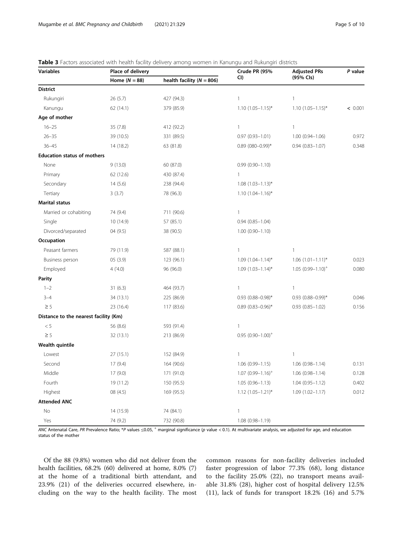| Variables                             | Place of delivery |                               | Crude PR (95%            | <b>Adjusted PRs</b>      | P value |
|---------------------------------------|-------------------|-------------------------------|--------------------------|--------------------------|---------|
|                                       | Home $(N = 88)$   | health facility ( $N = 806$ ) | CI)                      | (95% Cls)                |         |
| <b>District</b>                       |                   |                               |                          |                          |         |
| Rukungiri                             | 26 (5.7)          | 427 (94.3)                    | 1                        | $\mathbf{1}$             |         |
| Kanungu                               | 62(14.1)          | 379 (85.9)                    | $1.10(1.05 - 1.15)^*$    | $1.10(1.05 - 1.15)^{*}$  | < 0.001 |
| Age of mother                         |                   |                               |                          |                          |         |
| $16 - 25$                             | 35(7.8)           | 412 (92.2)                    | 1                        | $\mathbf{1}$             |         |
| $26 - 35$                             | 39 (10.5)         | 331 (89.5)                    | $0.97(0.93 - 1.01)$      | $1.00(0.94 - 1.06)$      | 0.972   |
| $36 - 45$                             | 14 (18.2)         | 63 (81.8)                     | $0.89$ (080-0.99)*       | $0.94(0.83 - 1.07)$      | 0.348   |
| <b>Education status of mothers</b>    |                   |                               |                          |                          |         |
| None                                  | 9(13.0)           | 60 (87.0)                     | $0.99(0.90 - 1.10)$      |                          |         |
| Primary                               | 62 (12.6)         | 430 (87.4)                    | $\mathbf{1}$             |                          |         |
| Secondary                             | 14(5.6)           | 238 (94.4)                    | $1.08$ $(1.03 - 1.13)^*$ |                          |         |
| Tertiary                              | 3(3.7)            | 78 (96.3)                     | $1.10(1.04 - 1.16)^{*}$  |                          |         |
| <b>Marital status</b>                 |                   |                               |                          |                          |         |
| Married or cohabiting                 | 74 (9.4)          | 711 (90.6)                    | 1                        |                          |         |
| Single                                | 10(14.9)          | 57 (85.1)                     | $0.94(0.85 - 1.04)$      |                          |         |
| Divorced/separated                    | 04 (9.5)          | 38 (90.5)                     | $1.00(0.90 - 1.10)$      |                          |         |
| Occupation                            |                   |                               |                          |                          |         |
| Peasant farmers                       | 79 (11.9)         | 587 (88.1)                    | 1                        | $\mathbf{1}$             |         |
| Business person                       | 05 (3.9)          | 123 (96.1)                    | $1.09$ $(1.04 - 1.14)^*$ | $1.06$ $(1.01-1.11)^*$   | 0.023   |
| Employed                              | 4(4.0)            | 96 (96.0)                     | $1.09$ $(1.03 - 1.14)^*$ | $1.05(0.99 - 1.10)^+$    | 0.080   |
| Parity                                |                   |                               |                          |                          |         |
| $1 - 2$                               | 31(6.3)           | 464 (93.7)                    | 1                        | $\mathbf{1}$             |         |
| $3 - 4$                               | 34 (13.1)         | 225 (86.9)                    | $0.93$ $(0.88 - 0.98)^*$ | $0.93$ $(0.88 - 0.99)$ * | 0.046   |
| $\geq$ 5                              | 23 (16.4)         | 117 (83.6)                    | $0.89$ (0.83-0.96)*      | $0.93(0.85 - 1.02)$      | 0.156   |
| Distance to the nearest facility (Km) |                   |                               |                          |                          |         |
| $< 5\,$                               | 56 (8.6)          | 593 (91.4)                    | 1                        |                          |         |
| $\geq 5$                              | 32 (13.1)         | 213 (86.9)                    | $0.95(0.90 - 1.00)^+$    |                          |         |
| Wealth quintile                       |                   |                               |                          |                          |         |
| Lowest                                | 27(15.1)          | 152 (84.9)                    | 1                        | $\mathbf{1}$             |         |
| Second                                | 17(9.4)           | 164 (90.6)                    | $1.06(0.99 - 1.15)$      | $1.06(0.98 - 1.14)$      | 0.131   |
| Middle                                | 17(9.0)           | 171 (91.0)                    | $1.07$ $(0.99 - 1.16)^+$ | $1.06(0.98 - 1.14)$      | 0.128   |
| Fourth                                | 19 (11.2)         | 150 (95.5)                    | $1.05(0.96 - 1.13)$      | $1.04(0.95 - 1.12)$      | 0.402   |
| Highest                               | 08(4.5)           | 169 (95.5)                    | $1.12$ $(1.05 - 1.21)^*$ | $1.09(1.02 - 1.17)$      | 0.012   |
| <b>Attended ANC</b>                   |                   |                               |                          |                          |         |
| No                                    | 14 (15.9)         | 74 (84.1)                     | 1                        |                          |         |
| Yes                                   | 74 (9.2)          | 732 (90.8)                    | 1.08 (0.98-1.19)         |                          |         |

<span id="page-4-0"></span>

| Table 3 Factors associated with health facility delivery among women in Kanungu and Rukungiri districts |  |  |
|---------------------------------------------------------------------------------------------------------|--|--|
|                                                                                                         |  |  |

ANC Antenatal Care, PR Prevalence Ratio; \*P values ≤0.05, <sup>+</sup> marginal significance (p value < 0.1). At multivariate analysis, we adjusted for age, and education status of the mother

Of the 88 (9.8%) women who did not deliver from the health facilities, 68.2% (60) delivered at home, 8.0% (7) at the home of a traditional birth attendant, and 23.9% (21) of the deliveries occurred elsewhere, including on the way to the health facility. The most common reasons for non-facility deliveries included faster progression of labor 77.3% (68), long distance to the facility 25.0% (22), no transport means available 31.8% (28), higher cost of hospital delivery 12.5% (11), lack of funds for transport 18.2% (16) and 5.7%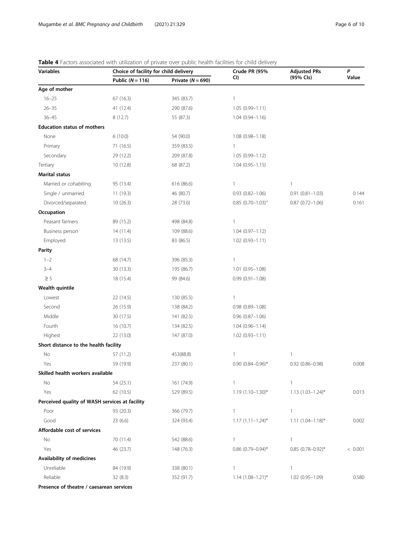<span id="page-5-0"></span>

| Table 4 Factors associated with utilization of private over public health facilities for child delivery |
|---------------------------------------------------------------------------------------------------------|
|                                                                                                         |

| <b>Variables</b>                               |                    | Choice of facility for child delivery |                          | <b>Adjusted PRs</b>    | P       |
|------------------------------------------------|--------------------|---------------------------------------|--------------------------|------------------------|---------|
|                                                | Public $(N = 116)$ | Private $(N = 690)$                   | CI)                      | (95% Cls)              | Value   |
| Age of mother                                  |                    |                                       |                          |                        |         |
| $16 - 25$                                      | 67(16.3)           | 345 (83.7)                            | 1                        |                        |         |
| $26 - 35$                                      | 41 (12.4)          | 290 (87.6)                            | $1.05(0.99 - 1.11)$      |                        |         |
| $36 - 45$                                      | 8(12.7)            | 55 (87.3)                             | $1.04(0.94 - 1.16)$      |                        |         |
| <b>Education status of mothers</b>             |                    |                                       |                          |                        |         |
| None                                           | 6(10.0)            | 54 (90.0)                             | $1.08(0.98 - 1.18)$      |                        |         |
| Primary                                        | 71 (16.5)          | 359 (83.5)                            | 1                        |                        |         |
| Secondary                                      | 29 (12.2)          | 209 (87.8)                            | $1.05(0.99 - 1.12)$      |                        |         |
| Tertiary                                       | 10 (12.8)          | 68 (87.2)                             | $1.04(0.95 - 1.15)$      |                        |         |
| <b>Marital status</b>                          |                    |                                       |                          |                        |         |
| Married or cohabiting                          | 95 (13.4)          | 616 (86.6)                            | $\mathbf{1}$             | 1                      |         |
| Single / unmarried                             | 11 (19.3)          | 46 (80.7)                             | $0.93$ $(0.82 - 1.06)$   | $0.91(0.81 - 1.03)$    | 0.144   |
| Divorced/separated                             | 10(26.3)           | 28 (73.6)                             | $0.85$ $(0.70-1.03)^{+}$ | $0.87(0.72 - 1.06)$    | 0.161   |
| Occupation                                     |                    |                                       |                          |                        |         |
| Peasant farmers                                | 89 (15.2)          | 498 (84.8)                            | 1                        |                        |         |
| Business person                                | 14 (11.4)          | 109 (88.6)                            | $1.04(0.97 - 1.12)$      |                        |         |
| Employed                                       | 13 (13.5)          | 83 (86.5)                             | $1.02(0.93 - 1.11)$      |                        |         |
| <b>Parity</b>                                  |                    |                                       |                          |                        |         |
| $1 - 2$                                        | 68 (14.7)          | 396 (85.3)                            | 1                        |                        |         |
| $3 - 4$                                        | 30 (13.3)          | 195 (86.7)                            | $1.01(0.95 - 1.08)$      |                        |         |
| $\geq$ 5                                       | 18 (15.4)          | 99 (84.6)                             | $0.99(0.91 - 1.08)$      |                        |         |
| Wealth quintile                                |                    |                                       |                          |                        |         |
| Lowest                                         | 22 (14.5)          | 130 (85.5)                            | 1                        |                        |         |
| Second                                         | 26 (15.9)          | 138 (84.2)                            | $0.98(0.89 - 1.08)$      |                        |         |
| Middle                                         | 30 (17.5)          | 141 (82.5)                            | $0.96$ $(0.87-1.06)$     |                        |         |
| Fourth                                         | 16 (10.7)          | 134 (82.5)                            | $1.04(0.96 - 1.14)$      |                        |         |
| Highest                                        | 22 (13.0)          | 147 (87.0)                            | $1.02(0.93 - 1.11)$      |                        |         |
| Short distance to the health facility          |                    |                                       |                          |                        |         |
| No                                             | 57 (11.2)          | 453(88.8)                             | 1                        | 1                      |         |
| Yes                                            | 59 (19.9)          | 237 (80.1)                            | $0.90$ $(0.84 - 0.96)^*$ | $0.92$ $(0.86 - 0.98)$ | 0.008   |
| Skilled health workers available               |                    |                                       |                          |                        |         |
| No                                             | 54 (25.1)          | 161 (74.9)                            | 1                        | 1                      |         |
| Yes                                            | 62 (10.5)          | 529 (89.5)                            | $1.19(1.10-1.30)$ *      | $1.13$ $(1.03-1.24)$ * | 0.013   |
| Perceived quality of WASH services at facility |                    |                                       |                          |                        |         |
| Poor                                           | 93 (20.3)          | 366 (79.7)                            | $\mathbf{1}$             | 1                      |         |
| Good                                           | 23(6.6)            | 324 (93.4)                            | $1.17(1.11 - 1.24)^{*}$  | $1.11$ $(1.04-1.18)$ * | 0.002   |
| Affordable cost of services                    |                    |                                       |                          |                        |         |
| No                                             | 70 (11.4)          | 542 (88.6)                            | $\mathbf{1}$             | 1                      |         |
| Yes                                            | 46 (23.7)          | 148 (76.3)                            | $0.86$ (0.79-0.94)*      | $0.85$ (0.78-0.92)*    | < 0.001 |
| Availability of medicines                      |                    |                                       |                          |                        |         |
| Unreliable                                     | 84 (19.9)          | 338 (80.1)                            | $\mathbf{1}$             | 1                      |         |
| Reliable                                       | 32(8.3)            | 352 (91.7)                            | $1.14$ $(1.08 - 1.21)^*$ | 1.02 (0.95-1.09)       | 0.580   |
| Presence of theatre / caesarean services       |                    |                                       |                          |                        |         |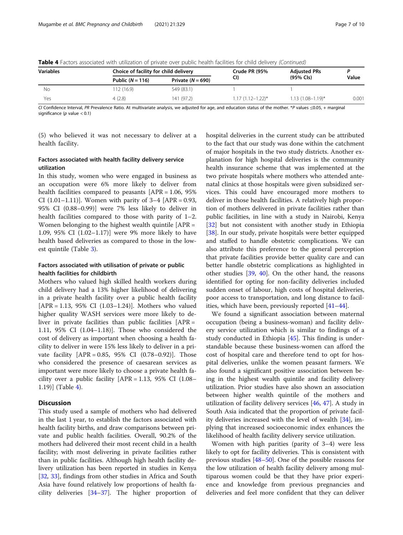| <b>Variables</b> |                    | Choice of facility for child delivery |                         | <b>Adjusted PRs</b>     |       |  |
|------------------|--------------------|---------------------------------------|-------------------------|-------------------------|-------|--|
|                  | Public $(N = 116)$ | Private $(N = 690)$                   | CI)                     | (95% Cls)               | Value |  |
| Νo               | 112 (16.9)         | 549 (83.1)                            |                         |                         |       |  |
| Yes              | 4(2.8)             | 141 (97.2)                            | $1.17(1.12 - 1.22)^{*}$ | $1.13(1.08 - 1.19)^{*}$ | 0.001 |  |

Table 4 Factors associated with utilization of private over public health facilities for child delivery (Continued)

CI Confidence Interval, PR Prevalence Ratio. At multivariate analysis, we adjusted for age, and education status of the mother. \*P values ≤0.05, + marginal significance ( $p$  value < 0.1)

(5) who believed it was not necessary to deliver at a health facility.

# Factors associated with health facility delivery service utilization

In this study, women who were engaged in business as an occupation were 6% more likely to deliver from health facilities compared to peasants [APR = 1.06, 95%] CI  $(1.01-1.11)$ ]. Women with parity of  $3-4$  [APR = 0.93, 95% CI (0.88–0.99)] were 7% less likely to deliver in health facilities compared to those with parity of 1–2. Women belonging to the highest wealth quintile [APR = 1.09, 95% CI (1.02–1.17)] were 9% more likely to have health based deliveries as compared to those in the lowest quintile (Table [3](#page-4-0)).

# Factors associated with utilisation of private or public health facilities for childbirth

Mothers who valued high skilled health workers during child delivery had a 13% higher likelihood of delivering in a private health facility over a public health facility [APR = 1.13, 95% CI (1.03–1.24)]. Mothers who valued higher quality WASH services were more likely to deliver in private facilities than public facilities [APR = 1.11, 95% CI (1.04–1.18)]. Those who considered the cost of delivery as important when choosing a health facility to deliver in were 15% less likely to deliver in a private facility [APR = 0.85, 95% CI (0.78–0.92)]. Those who considered the presence of caesarean services as important were more likely to choose a private health facility over a public facility  $[APR = 1.13, 95\% \text{ CI } (1.08 -$ 1.19)] (Table [4\)](#page-5-0).

# **Discussion**

This study used a sample of mothers who had delivered in the last 1 year, to establish the factors associated with health facility births, and draw comparisons between private and public health facilities. Overall, 90.2% of the mothers had delivered their most recent child in a health facility; with most delivering in private facilities rather than in public facilities. Although high health facility delivery utilization has been reported in studies in Kenya [[32,](#page-9-0) [33\]](#page-9-0), findings from other studies in Africa and South Asia have found relatively low proportions of health facility deliveries [\[34](#page-9-0)–[37\]](#page-9-0). The higher proportion of hospital deliveries in the current study can be attributed to the fact that our study was done within the catchment of major hospitals in the two study districts. Another explanation for high hospital deliveries is the community health insurance scheme that was implemented at the two private hospitals where mothers who attended antenatal clinics at those hospitals were given subsidized services. This could have encouraged more mothers to deliver in those health facilities. A relatively high proportion of mothers delivered in private facilities rather than public facilities, in line with a study in Nairobi, Kenya [[32\]](#page-9-0) but not consistent with another study in Ethiopia [[38\]](#page-9-0). In our study, private hospitals were better equipped and staffed to handle obstetric complications. We can also attribute this preference to the general perception that private facilities provide better quality care and can better handle obstetric complications as highlighted in other studies [[39](#page-9-0), [40\]](#page-9-0). On the other hand, the reasons identified for opting for non-facility deliveries included sudden onset of labour, high costs of hospital deliveries, poor access to transportation, and long distance to facilities, which have been, previously reported [\[41](#page-9-0)–[44\]](#page-9-0).

We found a significant association between maternal occupation (being a business-woman) and facility delivery service utilization which is similar to findings of a study conducted in Ethiopia [\[45](#page-9-0)]. This finding is understandable because these business-women can afford the cost of hospital care and therefore tend to opt for hospital deliveries, unlike the women peasant farmers. We also found a significant positive association between being in the highest wealth quintile and facility delivery utilization. Prior studies have also shown an association between higher wealth quintile of the mothers and utilization of facility delivery services [\[46](#page-9-0), [47](#page-9-0)]. A study in South Asia indicated that the proportion of private facility deliveries increased with the level of wealth [[34\]](#page-9-0), implying that increased socioeconomic index enhances the likelihood of health facility delivery service utilization.

Women with high parities (parity of 3–4) were less likely to opt for facility deliveries. This is consistent with previous studies [[48](#page-9-0)–[50](#page-9-0)]. One of the possible reasons for the low utilization of health facility delivery among multiparous women could be that they have prior experience and knowledge from previous pregnancies and deliveries and feel more confident that they can deliver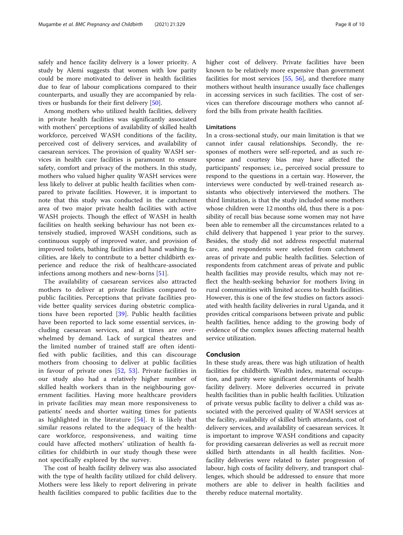safely and hence facility delivery is a lower priority. A study by Alemi suggests that women with low parity could be more motivated to deliver in health facilities due to fear of labour complications compared to their counterparts, and usually they are accompanied by relatives or husbands for their first delivery [[50](#page-9-0)].

Among mothers who utilized health facilities, delivery in private health facilities was significantly associated with mothers' perceptions of availability of skilled health workforce, perceived WASH conditions of the facility, perceived cost of delivery services, and availability of caesarean services. The provision of quality WASH services in health care facilities is paramount to ensure safety, comfort and privacy of the mothers. In this study, mothers who valued higher quality WASH services were less likely to deliver at public health facilities when compared to private facilities. However, it is important to note that this study was conducted in the catchment area of two major private health facilities with active WASH projects. Though the effect of WASH in health facilities on health seeking behaviour has not been extensively studied, improved WASH conditions, such as continuous supply of improved water, and provision of improved toilets, bathing facilities and hand washing facilities, are likely to contribute to a better childbirth experience and reduce the risk of healthcare-associated infections among mothers and new-borns [\[51\]](#page-9-0).

The availability of caesarean services also attracted mothers to deliver at private facilities compared to public facilities. Perceptions that private facilities provide better quality services during obstetric complications have been reported [\[39](#page-9-0)]. Public health facilities have been reported to lack some essential services, including caesarean services, and at times are overwhelmed by demand. Lack of surgical theatres and the limited number of trained staff are often identified with public facilities, and this can discourage mothers from choosing to deliver at public facilities in favour of private ones [\[52](#page-9-0), [53](#page-9-0)]. Private facilities in our study also had a relatively higher number of skilled health workers than in the neighbouring government facilities. Having more healthcare providers in private facilities may mean more responsiveness to patients' needs and shorter waiting times for patients as highlighted in the literature [[54\]](#page-9-0). It is likely that similar reasons related to the adequacy of the healthcare workforce, responsiveness, and waiting time could have affected mothers' utilization of health facilities for childbirth in our study though these were not specifically explored by the survey.

The cost of health facility delivery was also associated with the type of health facility utilized for child delivery. Mothers were less likely to report delivering in private health facilities compared to public facilities due to the higher cost of delivery. Private facilities have been known to be relatively more expensive than government facilities for most services [[55,](#page-9-0) [56\]](#page-9-0), and therefore many mothers without health insurance usually face challenges in accessing services in such facilities. The cost of services can therefore discourage mothers who cannot afford the bills from private health facilities.

#### **Limitations**

In a cross-sectional study, our main limitation is that we cannot infer causal relationships. Secondly, the responses of mothers were self-reported, and as such response and courtesy bias may have affected the participants' responses; i.e., perceived social pressure to respond to the questions in a certain way. However, the interviews were conducted by well-trained research assistants who objectively interviewed the mothers. The third limitation, is that the study included some mothers whose children were 12 months old, thus there is a possibility of recall bias because some women may not have been able to remember all the circumstances related to a child delivery that happened 1 year prior to the survey. Besides, the study did not address respectful maternal care, and respondents were selected from catchment areas of private and public health facilities. Selection of respondents from catchment areas of private and public health facilities may provide results, which may not reflect the health-seeking behavior for mothers living in rural communities with limited access to health facilities. However, this is one of the few studies on factors associated with health facility deliveries in rural Uganda, and it provides critical comparisons between private and public health facilities, hence adding to the growing body of evidence of the complex issues affecting maternal health service utilization.

#### Conclusion

In these study areas, there was high utilization of health facilities for childbirth. Wealth index, maternal occupation, and parity were significant determinants of health facility delivery. More deliveries occurred in private health facilities than in public health facilities. Utilization of private versus public facility to deliver a child was associated with the perceived quality of WASH services at the facility, availability of skilled birth attendants, cost of delivery services, and availability of caesarean services. It is important to improve WASH conditions and capacity for providing caesarean deliveries as well as recruit more skilled birth attendants in all health facilities. Nonfacility deliveries were related to faster progression of labour, high costs of facility delivery, and transport challenges, which should be addressed to ensure that more mothers are able to deliver in health facilities and thereby reduce maternal mortality.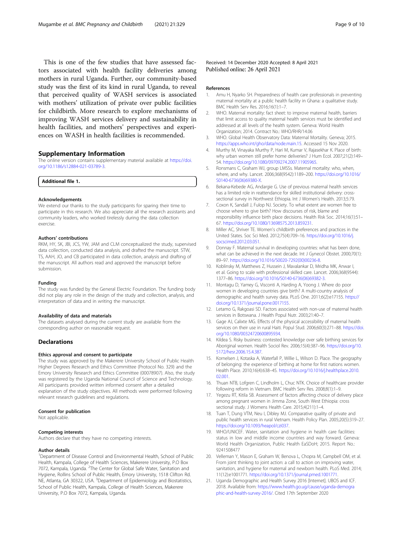<span id="page-8-0"></span>This is one of the few studies that have assessed factors associated with health facility deliveries among mothers in rural Uganda. Further, our community-based study was the first of its kind in rural Uganda, to reveal that perceived quality of WASH services is associated with mothers' utilization of private over public facilities for childbirth. More research to explore mechanisms of improving WASH services delivery and sustainability in health facilities, and mothers' perspectives and experiences on WASH in health facilities is recommended.

# Supplementary Information

The online version contains supplementary material available at [https://doi.](https://doi.org/10.1186/s12884-021-03789-3) [org/10.1186/s12884-021-03789-3.](https://doi.org/10.1186/s12884-021-03789-3)

Additional file 1.

#### Acknowledgements

We extend our thanks to the study participants for sparing their time to participate in this research. We also appreciate all the research assistants and community leaders, who worked tirelessly during the data collection exercise.

#### Authors' contributions

RKM, HY, SK, JBI, JCS, YW, JAM and CLM conceptualized the study, supervised data collection, conducted data analysis, and drafted the manuscript. STW, TS, AAH, JO, and CB participated in data collection, analysis and drafting of the manuscript. All authors read and approved the manuscript before submission.

#### Funding

The study was funded by the General Electric Foundation. The funding body did not play any role in the design of the study and collection, analysis, and interpretation of data and in writing the manuscript.

#### Availability of data and materials

The datasets analysed during the current study are available from the corresponding author on reasonable request.

# Declarations

#### Ethics approval and consent to participate

The study was approved by the Makerere University School of Public Health Higher Degrees Research and Ethics Committee (Protocol No. 329) and the Emory University Research and Ethics Committee (00078907). Also, the study was registered by the Uganda National Council of Science and Technology. All participants provided written informed consent after a detailed explanation of the study objectives. All methods were performed following relevant research guidelines and regulations.

#### Consent for publication

Not applicable.

#### Competing interests

Authors declare that they have no competing interests.

#### Author details

<sup>1</sup>Department of Disease Control and Environmental Health, School of Public Health, Kampala, College of Health Sciences, Makerere University, P.O Box 7072, Kampala, Uganda. <sup>2</sup>The Center for Global Safe Water, Sanitation and Hygiene, Rollins School of Public Health, Emory University, 1518 Clifton Rd. NE, Atlanta, GA 30322, USA. <sup>3</sup>Department of Epidemiology and Biostatistics, School of Public Health, Kampala, College of Health Sciences, Makerere University, P.O Box 7072, Kampala, Uganda.

Received: 14 December 2020 Accepted: 8 April 2021 Published online: 26 April 2021

#### References

- 1. Amu H, Nyarko SH. Preparedness of health care professionals in preventing maternal mortality at a public health facility in Ghana: a qualitative study. BMC Health Serv Res. 2016;16(1):1–7.
- 2. WHO. Maternal mortality: fact sheet: to improve maternal health, barriers that limit access to quality maternal health services must be identified and addressed at all levels of the health system. Geneva: World Health Organization; 2014. Contract No.: WHO/RHR/14.06
- 3. WHO. Global Health Observatory Data: Maternal Mortality. Geneva; 2015. [https://apps.who.int/gho/data/node.main.15.](https://apps.who.int/gho/data/node.main.15) Accessed 15 Nov 2020.
- 4. Murthy M, Vinayaka Murthy P, Hari M, Kumar V, Rajasekhar K. Place of birth: why urban women still prefer home deliveries? J Hum Ecol. 2007;21(2):149– 54. [https://doi.org/10.1080/09709274.2007.11905965.](https://doi.org/10.1080/09709274.2007.11905965)
- 5. Ronsmans C, Graham WJ, group LMSSs. Maternal mortality: who, when, where, and why. Lancet. 2006;368(9542):1189–200. [https://doi.org/10.1016/](https://doi.org/10.1016/S0140-6736(06)69380-X) [S0140-6736\(06\)69380-X.](https://doi.org/10.1016/S0140-6736(06)69380-X)
- 6. Bekana-Kebede AG, Andargie G. Use of previous maternal health services has a limited role in reattendance for skilled institutional delivery: crosssectional survey in Northwest Ethiopia. Int J Women's Health. 2013;5:79.
- 7. Coxon K, Sandall J, Fulop NJ. Society. To what extent are women free to choose where to give birth? How discourses of risk, blame and responsibility influence birth place decisions. Health Risk Soc. 2014;16(1):51– 67. [https://doi.org/10.1080/13698575.2013.859231.](https://doi.org/10.1080/13698575.2013.859231)
- 8. Miller AC, Shriver TE. Women's childbirth preferences and practices in the United States. Soc Sci Med. 2012;75(4):709–16. [https://doi.org/10.1016/j.](https://doi.org/10.1016/j.socscimed.2012.03.051) [socscimed.2012.03.051.](https://doi.org/10.1016/j.socscimed.2012.03.051)
- 9. Donnay F. Maternal survival in developing countries: what has been done, what can be achieved in the next decade. Int J Gynecol Obstet. 2000;70(1): 89–97. [https://doi.org/10.1016/S0020-7292\(00\)00236-8](https://doi.org/10.1016/S0020-7292(00)00236-8).
- 10. Koblinsky M, Matthews Z, Hussein J, Mavalankar D, Mridha MK, Anwar I, et al. Going to scale with professional skilled care. Lancet. 2006;368(9544): 1377–86. [https://doi.org/10.1016/S0140-6736\(06\)69382-3](https://doi.org/10.1016/S0140-6736(06)69382-3).
- 11. Montagu D, Yamey G, Visconti A, Harding A, Yoong J. Where do poor women in developing countries give birth? A multi-country analysis of demographic and health survey data. PLoS One. 2011;6(2):e17155. [https://](https://doi.org/10.1371/journal.pone.0017155) [doi.org/10.1371/journal.pone.0017155.](https://doi.org/10.1371/journal.pone.0017155)
- 12. Letamo G, Rakgoasi SD. Factors associated with non-use of maternal health services in Botswana. J Health Popul Nutr. 2003;21:40–7.
- 13. Gage AJ, Calixte MG. Effects of the physical accessibility of maternal health services on their use in rural Haiti. Popul Stud. 2006;60(3):271–88. [https://doi.](https://doi.org/10.1080/00324720600895934) [org/10.1080/00324720600895934](https://doi.org/10.1080/00324720600895934).
- 14. Kildea S. Risky business: contested knowledge over safe birthing services for Aboriginal women. Health Sociol Rev. 2006;15(4):387–96. [https://doi.org/10.](https://doi.org/10.5172/hesr.2006.15.4.387) [5172/hesr.2006.15.4.387.](https://doi.org/10.5172/hesr.2006.15.4.387)
- 15. Kornelsen J, Kotaska A, Waterfall P, Willie L, Wilson D. Place. The geography of belonging: the experience of birthing at home for first nations women. Health Place. 2010;16(4):638–45. [https://doi.org/10.1016/j.healthplace.2010.](https://doi.org/10.1016/j.healthplace.2010.02.001) [02.001.](https://doi.org/10.1016/j.healthplace.2010.02.001)
- 16. Thuan NTB, Lofgren C, Lindholm L, Chuc NTK. Choice of healthcare provider following reform in Vietnam. BMC Health Serv Res. 2008;8(1):1–9.
- 17. Yegezu RT, Kitila SB. Assessment of factors affecting choice of delivery place among pregnant women in Jimma Zone, South West Ethiopia: cross sectional study. J Womens Health Care. 2015;4(211):1–4.
- 18. Tuan T, Dung VTM, Neu I, Dibley MJ. Comparative quality of private and public health services in rural Vietnam. Health Policy Plan. 2005;20(5):319–27. [https://doi.org/10.1093/heapol/czi037.](https://doi.org/10.1093/heapol/czi037)
- 19. WHO/UNICEF. Water, sanitation and hygiene in health care facilities: status in low and middle income countries and way forward. Geneva: World Health Organization, Public Health EaSDoH; 2015. Report No.: 9241508477
- 20. Velleman Y, Mason E, Graham W, Benova L, Chopra M, Campbell OM, et al. From joint thinking to joint action: a call to action on improving water, sanitation, and hygiene for maternal and newborn health. PLoS Med. 2014; 11(12):e1001771. [https://doi.org/10.1371/journal.pmed.1001771.](https://doi.org/10.1371/journal.pmed.1001771)
- 21. Uganda Demographic and Health Survey 2016 [Internet]. UBOS and ICF. 2018. Available from: [https://www.health.go.ug/cause/uganda-demogra](https://www.health.go.ug/cause/uganda-demographic-and-health-survey-2016/) [phic-and-health-survey-2016/](https://www.health.go.ug/cause/uganda-demographic-and-health-survey-2016/). Cited 17th September 2020